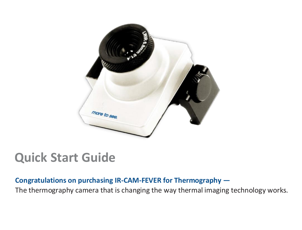

# **Quick Start Guide**

### **Congratulations on purchasing IR-CAM-FEVER for Thermography —**

The thermography camera that is changing the way thermal imaging technology works.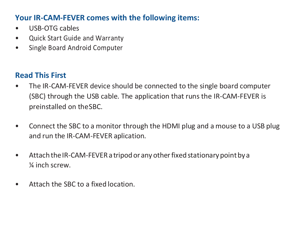## **Your IR-CAM-FEVER comes with the following items:**

- USB-OTG cables
- Quick Start Guide and Warranty
- Single Board Android Computer

# **Read This First**

- The IR-CAM-FEVER device should be connected to the single board computer (SBC) through the USB cable. The application that runs the IR-CAM-FEVER is preinstalled on theSBC.
- Connect the SBC to a monitor through the HDMI plug and a mouse to a USB plug and run the IR-CAM-FEVER aplication.
- Attach the IR-CAM-FEVER a tripod or any other fixed stationary point by a ¼ inch screw.
- Attach the SBC to a fixed location.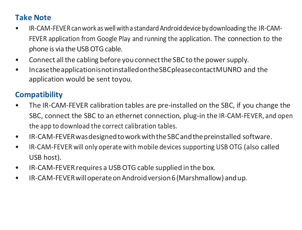## **Take Note**

- IR-CAM-FEVER can work as well with a standard Android device by downloading the IR-CAM-FEVER application from Google Play and running the application. The connection to the phone is via the USB OTG cable.
- Connect all the cabling before you connect the SBC to the power supply.
- IncasetheapplicationisnotinstalledontheSBCpleasecontactMUNRO and the application would be sent toyou.

# **Compatibility**

- The IR-CAM-FEVER calibration tables are pre-installed on the SBC, if you change the SBC, connect the SBC to an ethernet connection, plug-in the IR-CAM-FEVER, and open the app to download the correct calibration tables.
- IR-CAM-FEVERwasdesignedtoworkwiththeSBCandthepreinstalled software.
- IR-CAM-FEVER will only operate withmobile devicessupporting USB OTG (also called USB host).
- IR-CAM-FEVERrequires a USBOTG cable supplied in the box.
- IR-CAM-FEVERwilloperateonAndroidversion6(Marshmallow) andup.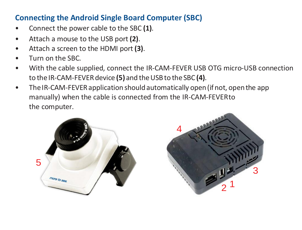## **Connecting the Android Single Board Computer (SBC)**

- Connect the power cable to the SBC **(1)**.
- Attach a mouse to the USB port **(2)**.
- Attach a screen to the HDMI port**(3)**.
- Turn on the SBC.
- With the cable supplied, connect the IR-CAM-FEVER USB OTG micro-USB connection to the IR-CAM-FEVER device (5) and the USB to the SBC (4).
- The IR-CAM-FEVER application should automatically open (if not, open the app manually) when the cable is connected from the IR-CAM-FEVERto the computer.



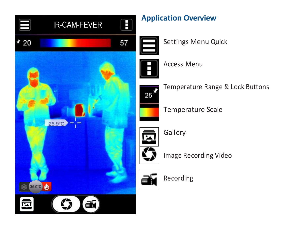

Image Recording Video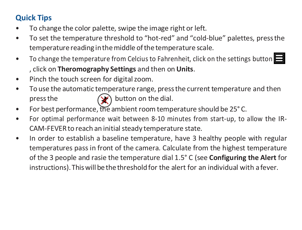# **Quick Tips**

- To change the color palette, swipe the image right or left.
- To set the temperature threshold to "hot-red" and "cold-blue" palettes, pressthe temperature reading inthemiddle ofthe temperature scale.
- To change the temperature from Celcius to Fahrenheit, click on the settings button  $\blacksquare$ , click on **Theromography Settings** and then on **Units**.
- Pinch the touch screen for digital zoom.
- To use the automatic temperature range, pressthe current temperature and then press the  $\left(\bigvee\right)$  button on the dial.
- For best performance, the ambient room temperature should be 25°C.
- For optimal performance wait between 8-10 minutes from start-up, to allow the IR-CAM-FEVER to reach an initial steady temperature state.
- In order to establish a baseline temperature, have 3 healthy people with regular temperatures pass in front of the camera. Calculate from the highest temperature of the 3 people and rasie the temperature dial 1.5° C (see **Configuring the Alert** for instructions). This will be the threshold for the alert for an individual with a fever.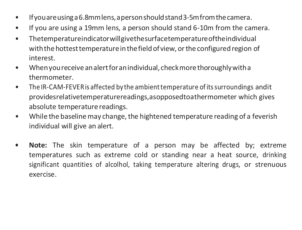- Ifyouareusinga6.8mmlens,apersonshouldstand3-5mfromthecamera.
- If you are using a 19mm lens, a person should stand 6-10m from the camera.
- Thetemperatureindicatorwillgivethesurfacetemperatureoftheindividual with the hottest temperature in the field of view, or the configured region of interest.
- Whenyoureceive analertforanindividual, checkmore thoroughlywitha thermometer.
- The IR-CAM-FEVERis affected by the ambienttemperature ofitssurroundings andit providesrelativetemperaturereadings,asopposedtoathermometer which gives absolute temperature readings.
- While the baseline may change, the hightened temperature reading of a feverish individual will give an alert.
- **• Note:** The skin temperature of a person may be affected by; extreme temperatures such as extreme cold or standing near a heat source, drinking significant quantities of alcolhol, taking temperature altering drugs, or strenuous exercise.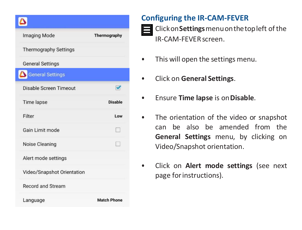| <b>Imaging Mode</b>          | Thermography         |
|------------------------------|----------------------|
| <b>Thermography Settings</b> |                      |
| <b>General Settings</b>      |                      |
| <b>General Settings</b>      |                      |
| Disable Screen Timeout       | $\blacktriangledown$ |
| <b>Time lapse</b>            | <b>Disable</b>       |
| Filter                       | Low                  |
| Gain Limit mode              |                      |
| Noise Cleaning               |                      |
| Alert mode settings          |                      |
| Video/Snapshot Orientation   |                      |
| <b>Record and Stream</b>     |                      |
| Language                     | <b>Match Phone</b>   |

## **Configuring the IR-CAM-FEVER**



**Example 2** Click on Settings menu on the top left of the IR-CAM-FEVERscreen.

- This will open the settings menu.
- Click on **General Settings**.
- Ensure **Time lapse** is on**Disable**.
- The orientation of the video or snapshot can be also be amended from the **General Settings** menu, by clicking on Video/Snapshot orientation.
- Click on **Alert mode settings** (see next page forinstructions).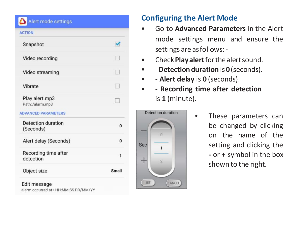#### **WINDOWS AND A RESIDENCE**

| <b>ACTION</b>                     |                       |
|-----------------------------------|-----------------------|
| Snapshot                          | $\blacktriangleright$ |
| Video recording                   |                       |
| Video streaming                   | T.                    |
| Vibrate                           |                       |
| Play alert.mp3<br>Path:/alarm.mp3 | I.                    |
| <b>ADVANCED PARAMETERS</b>        |                       |
| Detection duration<br>(Seconds)   | O                     |
| Alert delay (Seconds)             | $\Omega$              |
| Recording time after<br>detection | 1                     |
| Object size                       | Small                 |
| Edit message                      |                       |

alarm occurred at+ HH:MM:SS DD/MM/YY

### **Configuring the Alert Mode**

- Go to **Advanced Parameters** in the Alert mode settings menu and ensure the settings are asfollows:-
- Check**Playalert**forthealertsound.
- -**Detection duration** is **0**(seconds).
- - **Alert delay** is **0** (seconds).
- - **Recording time after detection** is **1** (minute).



• These parameters can be changed by clicking on the name of the setting and clicking the **-** or **+** symbol in the box shown to the right.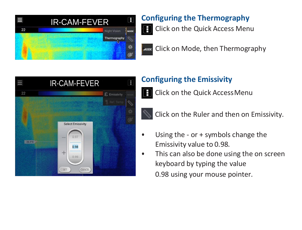

# **Configuring the Thermography**

Click on the Quick Access Menu  $\mathbf{\Theta}$ 

**Foose** Click on Mode, then Thermography



# **Configuring the Emissivity**

**E** Click on the Quick Access Menu



Click on the Ruler and then on Emissivity.

- Using the or + symbols change the Emissivity value to 0.98.
- This can also be done using the on screen keyboard by typing the value 0.98 using your mouse pointer.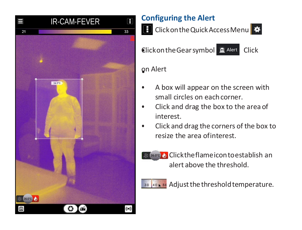

# **Configuring the Alert**

**E** Click on the Quick Access Menu

Clickon the Gear symbol  $\mathbf{E}$  Alert Click

# • on Alert

- A box will appear on the screen with small circles on eachcorner.
- Click and drag the box to the area of interest.
- Click and drag the corners of the box to resize the area ofinterest.



**Clicktheflameicontoestablish an** alert above the threshold.



**30 40 x 50** Adjust the threshold temperature.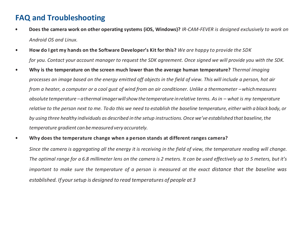### **FAQ and Troubleshooting**

- **• Does the camera work on other operating systems (iOS, Windows)?** *IR-CAM-FEVER is designed exclusively to work on Android OS and Linux.*
- How do I get my hands on the Software Developer's Kit for this? We are happy to provide the SDK *for you. Contact your account manager to request the SDK agreement. Once signed we will provide you with the SDK.*
- **• Why is the temperature on the screen much lower than the average human temperature?** *Thermal imaging processes an image based on the energy emitted off objects in the field of view. This will include a person, hot air from a heater, a computer or a cool gust of wind from an air conditioner. Unlike a thermometer –whichmeasures absolute temperature –athermal imagerwillshow thetemperature inrelative terms. As in – what is my temperature relative to the person next to me. To do this we need to establish the baseline temperature, either with a black body, or by using three healthy individuals as described in the setup instructions.Once we've established that baseline,the temperature gradient can bemeasured very accurately.*
- **• Why does the temperature change when a person stands at different ranges camera?**

Since the camera is agaregating all the energy it is receiving in the field of view, the temperature reading will change. The optimal range for a 6.8 millimeter lens on the camera is 2 meters. It can be used effectively up to 5 meters, but it's important to make sure the temperature of a person is measured at the exact distance that the baseline was *established. If yoursetup is designed to read temperatures of people at 3*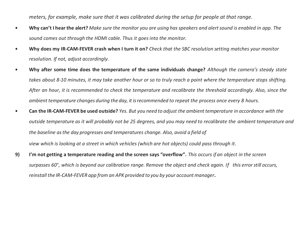*meters, for example, make sure that it was calibrated during the setup for people at that range.*

- Why can't I hear the alert? Make sure the monitor you are using has speakers and alert sound is enabled in app. The *sound comes out through the HDMI cable. Thus it goes into the monitor.*
- **• Why does my IR-CAM-FEVER crash when I turn it on?** *Check that the SBC resolution setting matches your monitor resolution. If not, adjust accordingly.*
- **• Why after some time does the temperature of the same individuals change?** *Although the camera's steady state* takes about 8-10 minutes, it may take another hour or so to truly reach a point where the temperature stops shifting. *After an hour, it is recommended to check the temperature and recalibrate the threshold accordingly. Also, since the ambient temperature changes during the day, it isrecommended to repeat the process once every 8 hours.*
- Can the IR-CAM-FEVER be used outside? Yes. But you need to adjust the ambient temperature in accordance with the *outside temperature as it will probably not be 25 degrees, and you may need to recalibrate the ambient temperature and the baseline asthe day progresses and temperatures change. Also, avoid a field of*

*view which is looking at a street in which vehicles (which are hot objects) could pass through it.*

**9) I'm not getting a temperature reading and the screen says "overflow".** *This occurs if an object in the screen surpasses 60*°*, which is beyond our calibration range. Remove the object and check again. If this errorstill occurs, reinstall the IR-CAM-FEVER app from an APK provided to you by your accountmanager***.**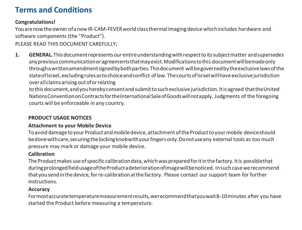# **Terms and Conditions**

#### **Congratulations!**

Youarenowtheowner ofa newIR-CAM-FEVERworldclassthermal imaging device whichincludes hardware and software components (the "Product").

PLEASE READ THIS DOCUMENT CAREFULLY;

**1. GENERAL.**Thisdocumentrepresents our entireunderstandingwithrespecttoitssubjectmatter andsupersedes any previous communication or agreements that may exist. Modifications to this document will be made only throughawrittenamendmentsignedbybothparties.Thisdocument willbegovernedbytheexclusivelawsofthe state of Israel, excluding rules as to choice and conflict of law. The courts of Israel will have exclusive jurisdiction overallclaimsarising outoforrelating

to this document, and you hereby consent and submit to such exclusive jurisdiction. It is agreed that the United NationsConventiononContractsfortheInternationalSaleofGoodswillnotapply. Judgments of the foregoing courts will be enforceable in any country.

#### **PRODUCT USAGE NOTICES**

#### **Attachment to your Mobile Device**

Toavoid damagetoyour Productandmobiledevice,attachmentoftheProducttoyourmobile deviceshould bedone with care, securing the locking knobwith your fingers only. Do not use any external tools as too much pressure may mark or damage your mobile device.

#### **Calibration**

The Product makes use of specific calibration data, which was prepared for it in the factory. It is possible that duringprolongedfieldusageoftheProductadeteriorationofimagewillbenoticed. Insuchcasewerecommend that yousendinthedevice,forre-calibrationatthefactory. Please contact our support team for further instructions.

#### **Accuracy**

Formostaccuratetemperaturemeasurementresults,werecommendthatyouwait8-10minutes after you have started the Product before measuring a temperature.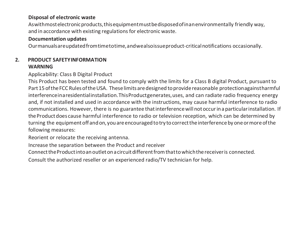#### **Disposal of electronic waste**

As with most electronic products, this equipment must be disposed of in an environmentally friendly way. and in accordance with existing regulations for electronic waste.

#### **Documentation updates**

Ourmanualsareupdatedfromtimetotime,andwealsoissueproduct-criticalnotifications occasionally.

#### **2. PRODUCT SAFETYINFORMATION WARNING**

#### Applicability: Class B Digital Product

This Product has been tested and found to comply with the limits for a Class B digital Product, pursuant to Part15 oftheFCC RulesoftheUSA. Theselimits aredesigned toprovidereasonable protectionagainstharmful interferenceinaresidentialinstallation.ThisProductgenerates,uses, and can radiate radio frequency energy and, if not installed and used in accordance with the instructions, may cause harmful interference to radio communications. However, there is no guarantee that interference will not occur in a particular installation. If theProductdoes cause harmful interference to radio or television reception, which can be determined by turning the equipment off and on, you are encouraged to try to correct the interference by one or more of the following measures:

Reorient or relocate the receiving antenna.

Increase the separation between the Product and receiver

ConnecttheProductintoanoutletonacircuitdifferentfromthattowhichthereceiveris connected.

Consult the authorized reseller or an experienced radio/TV technician for help.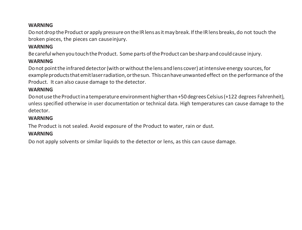#### **WARNING**

Do not drop the Product or apply pressure on the IR lens as it may break. If the IR lens breaks, do not touch the broken pieces, the pieces can causeinjury.

#### **WARNING**

Be careful when you touch the Product. Some parts of the Product can be sharp and could cause injury.

#### **WARNING**

Donot pointthe infrared detector(with orwithoutthelens andlens cover) atintensive energy sources,for exampleproductsthatemitlaserradiation,orthesun. Thiscanhaveunwantedeffect on the performance of the Product. It can also cause damage to the detector.

#### **WARNING**

Donot use the Productina temperature environment higher than +50 degrees Celsius (+122 degrees Fahrenheit), unless specified otherwise in user documentation or technical data. High temperatures can cause damage to the detector.

#### **WARNING**

The Product is not sealed. Avoid exposure of the Product to water, rain or dust.

#### **WARNING**

Do not apply solvents or similar liquids to the detector or lens, as this can cause damage.